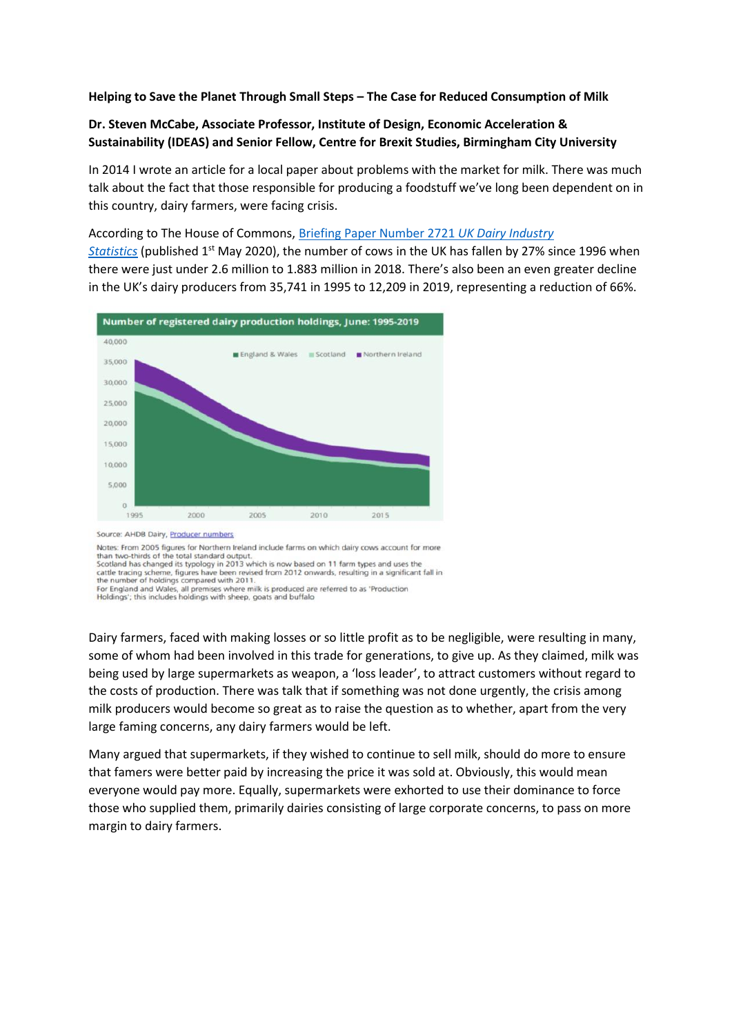## **Helping to Save the Planet Through Small Steps – The Case for Reduced Consumption of Milk**

## **Dr. Steven McCabe, Associate Professor, Institute of Design, Economic Acceleration & Sustainability (IDEAS) and Senior Fellow, Centre for Brexit Studies, Birmingham City University**

In 2014 I wrote an article for a local paper about problems with the market for milk. There was much talk about the fact that those responsible for producing a foodstuff we've long been dependent on in this country, dairy farmers, were facing crisis.

According to The House of Commons, [Briefing Paper Number 2721](https://commonslibrary.parliament.uk/research-briefings/sn02721/) *UK Dairy Industry* 

*[Statistics](https://commonslibrary.parliament.uk/research-briefings/sn02721/)* (published 1st May 2020), the number of cows in the UK has fallen by 27% since 1996 when there were just under 2.6 million to 1.883 million in 2018. There's also been an even greater decline in the UK's dairy producers from 35,741 in 1995 to 12,209 in 2019, representing a reduction of 66%.



Notes: From 2005 figures for Northern Ireland include farms on which dairy cows account for more

than two-thirds of the total standard output.<br>Scotland has changed its typology in 2013 which is now based on 11 farm types and uses the cattle tracing scheme, figures have been rewised from 2012 onwards, resulting in a si

Dairy farmers, faced with making losses or so little profit as to be negligible, were resulting in many, some of whom had been involved in this trade for generations, to give up. As they claimed, milk was being used by large supermarkets as weapon, a 'loss leader', to attract customers without regard to the costs of production. There was talk that if something was not done urgently, the crisis among milk producers would become so great as to raise the question as to whether, apart from the very large faming concerns, any dairy farmers would be left.

Many argued that supermarkets, if they wished to continue to sell milk, should do more to ensure that famers were better paid by increasing the price it was sold at. Obviously, this would mean everyone would pay more. Equally, supermarkets were exhorted to use their dominance to force those who supplied them, primarily dairies consisting of large corporate concerns, to pass on more margin to dairy farmers.

the number of nonamps compared with zo in<br>For England and Wales, all premises where milk is produced are referred to as 'Production<br>Holdings'; this includes holdings with sheep, goats and buffalo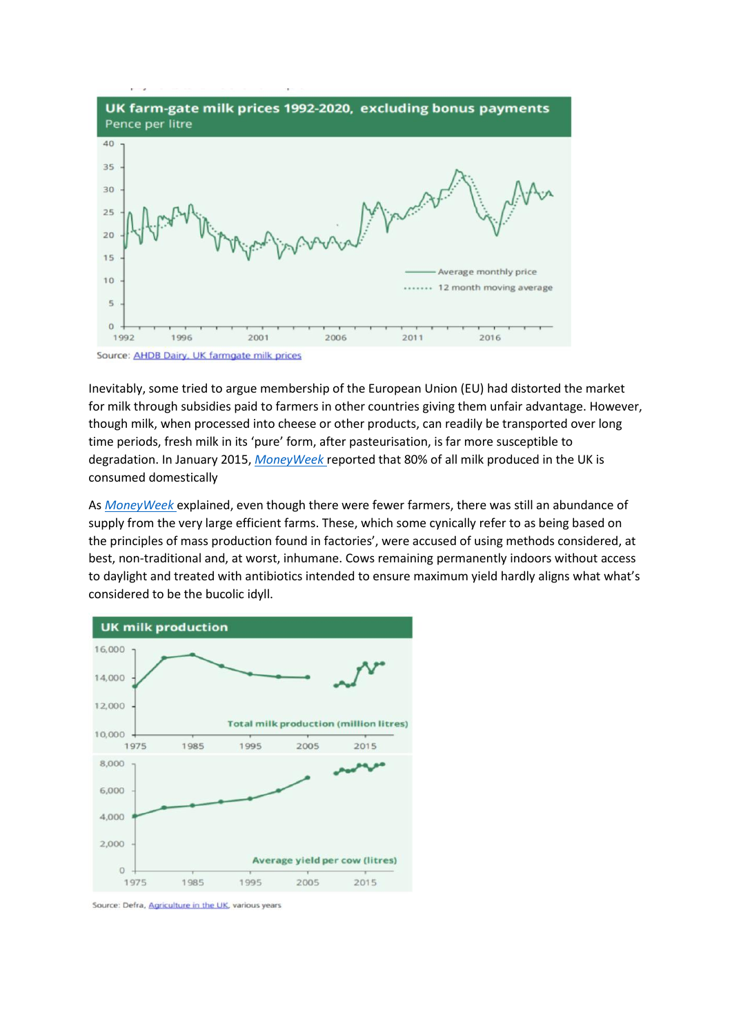

Inevitably, some tried to argue membership of the European Union (EU) had distorted the market for milk through subsidies paid to farmers in other countries giving them unfair advantage. However, though milk, when processed into cheese or other products, can readily be transported over long time periods, fresh milk in its 'pure' form, after pasteurisation, is far more susceptible to degradation. In January 2015, *[MoneyWeek](https://moneyweek.com/375654/the-real-cost-of-a-pint-of-milk#:~:text=According%20to%20the%20NFU%2C%20the,and%20the%20lowest%20since%202007.)* reported that 80% of all milk produced in the UK is consumed domestically

As *[MoneyWeek](https://moneyweek.com/375654/the-real-cost-of-a-pint-of-milk#:~:text=According%20to%20the%20NFU%2C%20the,and%20the%20lowest%20since%202007.)* explained, even though there were fewer farmers, there was still an abundance of supply from the very large efficient farms. These, which some cynically refer to as being based on the principles of mass production found in factories', were accused of using methods considered, at best, non-traditional and, at worst, inhumane. Cows remaining permanently indoors without access to daylight and treated with antibiotics intended to ensure maximum yield hardly aligns what what's considered to be the bucolic idyll.

![](_page_1_Figure_3.jpeg)

Source: Defra, Agriculture in the UK, various years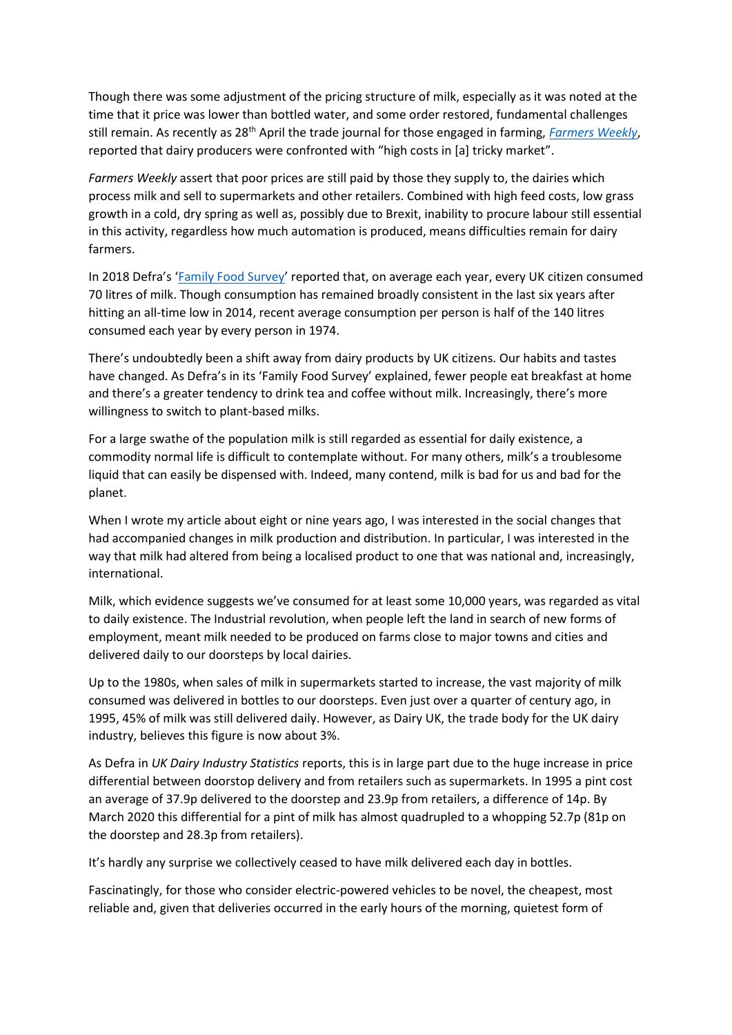Though there was some adjustment of the pricing structure of milk, especially as it was noted at the time that it price was lower than bottled water, and some order restored, fundamental challenges still remain. As recently as 28th April the trade journal for those engaged in farming, *[Farmers Weekly](https://www.fwi.co.uk/business/markets-and-trends/dairy-markets/dairy-farmers-struggle-with-high-costs-in-tricky-market)*, reported that dairy producers were confronted with "high costs in [a] tricky market".

*Farmers Weekly* assert that poor prices are still paid by those they supply to, the dairies which process milk and sell to supermarkets and other retailers. Combined with high feed costs, low grass growth in a cold, dry spring as well as, possibly due to Brexit, inability to procure labour still essential in this activity, regardless how much automation is produced, means difficulties remain for dairy farmers.

In 2018 Defra's '[Family Food Survey](https://www.gov.uk/government/statistics/family-food-201819)' reported that, on average each year, every UK citizen consumed 70 litres of milk. Though consumption has remained broadly consistent in the last six years after hitting an all-time low in 2014, recent average consumption per person is half of the 140 litres consumed each year by every person in 1974.

There's undoubtedly been a shift away from dairy products by UK citizens. Our habits and tastes have changed. As Defra's in its 'Family Food Survey' explained, fewer people eat breakfast at home and there's a greater tendency to drink tea and coffee without milk. Increasingly, there's more willingness to switch to plant-based milks.

For a large swathe of the population milk is still regarded as essential for daily existence, a commodity normal life is difficult to contemplate without. For many others, milk's a troublesome liquid that can easily be dispensed with. Indeed, many contend, milk is bad for us and bad for the planet.

When I wrote my article about eight or nine years ago, I was interested in the social changes that had accompanied changes in milk production and distribution. In particular, I was interested in the way that milk had altered from being a localised product to one that was national and, increasingly, international.

Milk, which evidence suggests we've consumed for at least some 10,000 years, was regarded as vital to daily existence. The Industrial revolution, when people left the land in search of new forms of employment, meant milk needed to be produced on farms close to major towns and cities and delivered daily to our doorsteps by local dairies.

Up to the 1980s, when sales of milk in supermarkets started to increase, the vast majority of milk consumed was delivered in bottles to our doorsteps. Even just over a quarter of century ago, in 1995, 45% of milk was still delivered daily. However, as Dairy UK, the trade body for the UK dairy industry, believes this figure is now about 3%.

As Defra in *UK Dairy Industry Statistics* reports, this is in large part due to the huge increase in price differential between doorstop delivery and from retailers such as supermarkets. In 1995 a pint cost an average of 37.9p delivered to the doorstep and 23.9p from retailers, a difference of 14p. By March 2020 this differential for a pint of milk has almost quadrupled to a whopping 52.7p (81p on the doorstep and 28.3p from retailers).

It's hardly any surprise we collectively ceased to have milk delivered each day in bottles.

Fascinatingly, for those who consider electric-powered vehicles to be novel, the cheapest, most reliable and, given that deliveries occurred in the early hours of the morning, quietest form of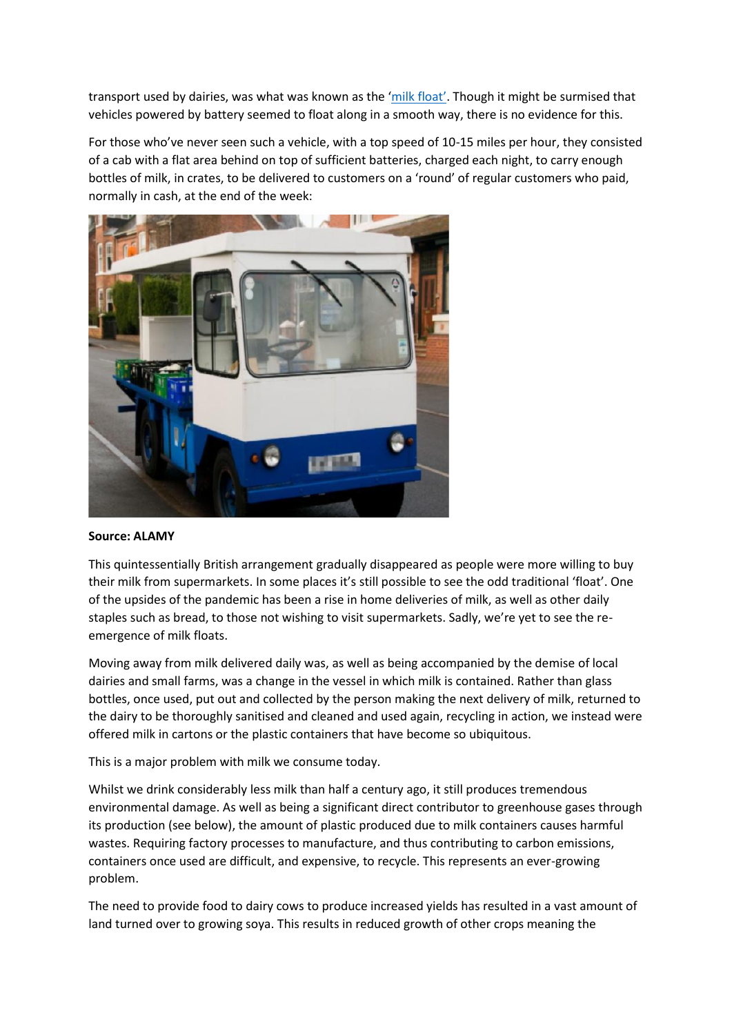transport used by dairies, was what was known as the ['milk float'](http://www.milkfloats.org.uk/faq.html). Though it might be surmised that vehicles powered by battery seemed to float along in a smooth way, there is no evidence for this.

For those who've never seen such a vehicle, with a top speed of 10-15 miles per hour, they consisted of a cab with a flat area behind on top of sufficient batteries, charged each night, to carry enough bottles of milk, in crates, to be delivered to customers on a 'round' of regular customers who paid, normally in cash, at the end of the week:

![](_page_3_Picture_2.jpeg)

## **Source: ALAMY**

This quintessentially British arrangement gradually disappeared as people were more willing to buy their milk from supermarkets. In some places it's still possible to see the odd traditional 'float'. One of the upsides of the pandemic has been a rise in home deliveries of milk, as well as other daily staples such as bread, to those not wishing to visit supermarkets. Sadly, we're yet to see the reemergence of milk floats.

Moving away from milk delivered daily was, as well as being accompanied by the demise of local dairies and small farms, was a change in the vessel in which milk is contained. Rather than glass bottles, once used, put out and collected by the person making the next delivery of milk, returned to the dairy to be thoroughly sanitised and cleaned and used again, recycling in action, we instead were offered milk in cartons or the plastic containers that have become so ubiquitous.

This is a major problem with milk we consume today.

Whilst we drink considerably less milk than half a century ago, it still produces tremendous environmental damage. As well as being a significant direct contributor to greenhouse gases through its production (see below), the amount of plastic produced due to milk containers causes harmful wastes. Requiring factory processes to manufacture, and thus contributing to carbon emissions, containers once used are difficult, and expensive, to recycle. This represents an ever-growing problem.

The need to provide food to dairy cows to produce increased yields has resulted in a vast amount of land turned over to growing soya. This results in reduced growth of other crops meaning the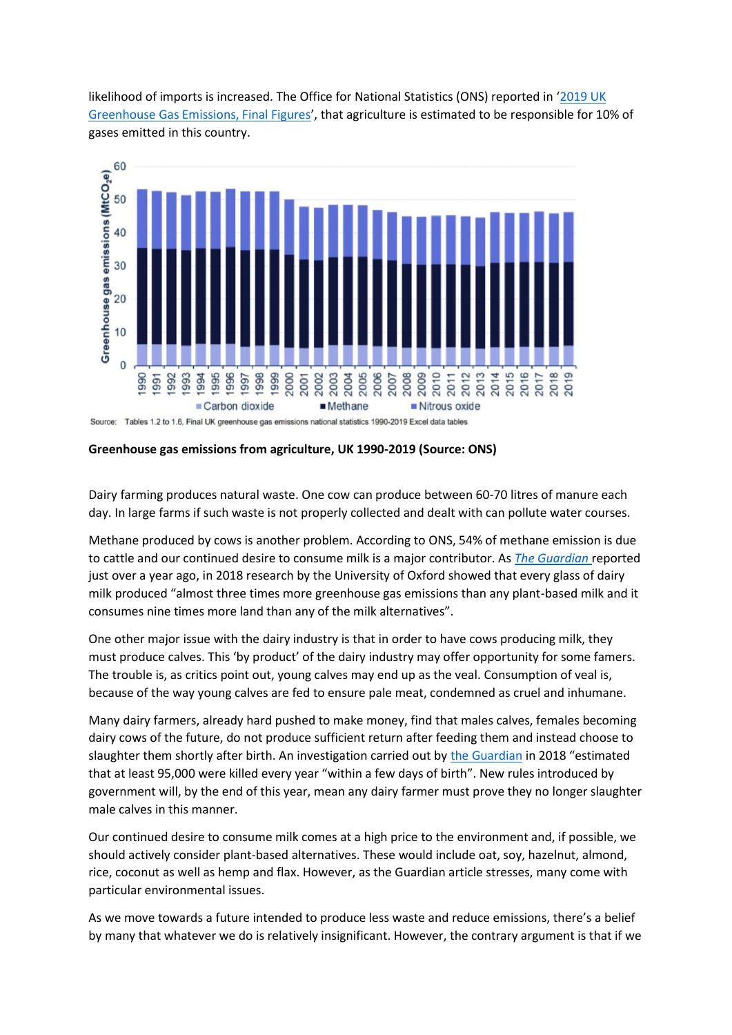likelihood of imports is increased. The Office for National Statistics (ONS) reported in '[2019 UK](https://assets.publishing.service.gov.uk/government/uploads/system/uploads/attachment_data/file/957887/2019_Final_greenhouse_gas_emissions_statistical_release.pdf)  [Greenhouse Gas Emissions, Final Figures](https://assets.publishing.service.gov.uk/government/uploads/system/uploads/attachment_data/file/957887/2019_Final_greenhouse_gas_emissions_statistical_release.pdf)', that agriculture is estimated to be responsible for 10% of gases emitted in this country.

![](_page_4_Figure_1.jpeg)

Source: Tables 1.2 to 1.6, Final UK greenhouse gas emissions national statistics 1990-2019 Excel data tables

**Greenhouse gas emissions from agriculture, UK 1990-2019 (Source: ONS)**

Dairy farming produces natural waste. One cow can produce between 60-70 litres of manure each day. In large farms if such waste is not properly collected and dealt with can pollute water courses.

Methane produced by cows is another problem. According to ONS, 54% of methane emission is due to cattle and our continued desire to consume milk is a major contributor. As *[The Guardian](https://www.theguardian.com/environment/2020/jan/28/what-plant-milk-should-i-drink-almond-killing-bees-aoe)* reported just over a year ago, in 2018 research by the University of Oxford showed that every glass of dairy milk produced "almost three times more greenhouse gas emissions than any plant-based milk and it consumes nine times more land than any of the milk alternatives".

One other major issue with the dairy industry is that in order to have cows producing milk, they must produce calves. This 'by product' of the dairy industry may offer opportunity for some famers. The trouble is, as critics point out, young calves may end up as the veal. Consumption of veal is, because of the way young calves are fed to ensure pale meat, condemned as cruel and inhumane.

Many dairy farmers, already hard pushed to make money, find that males calves, females becoming dairy cows of the future, do not produce sufficient return after feeding them and instead choose to slaughter them shortly after birth. An investigation carried out by [the Guardian](https://www.theguardian.com/environment/2020/dec/10/the-end-of-dairys-dirty-secret-farms-have-a-year-to-stop-killing-male-calves) in 2018 "estimated that at least 95,000 were killed every year "within a few days of birth". New rules introduced by government will, by the end of this year, mean any dairy farmer must prove they no longer slaughter male calves in this manner.

Our continued desire to consume milk comes at a high price to the environment and, if possible, we should actively consider plant-based alternatives. These would include oat, soy, hazelnut, almond, rice, coconut as well as hemp and flax. However, as the Guardian article stresses, many come with particular environmental issues.

As we move towards a future intended to produce less waste and reduce emissions, there's a belief by many that whatever we do is relatively insignificant. However, the contrary argument is that if we